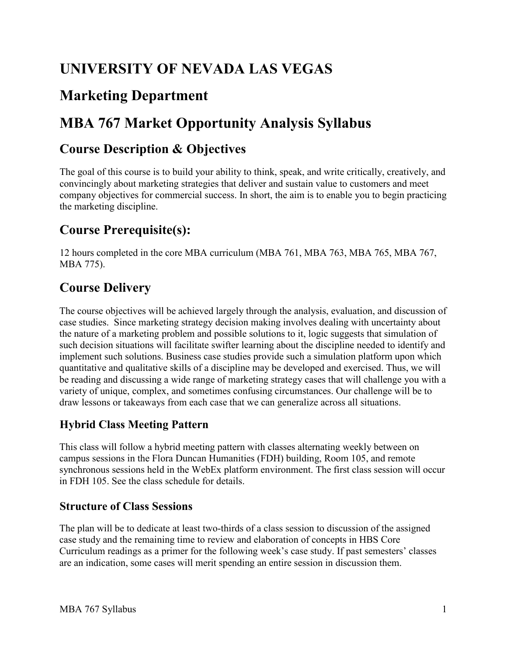# **UNIVERSITY OF NEVADA LAS VEGAS**

# **Marketing Department**

# **MBA 767 Market Opportunity Analysis Syllabus**

#### **Course Description & Objectives**

The goal of this course is to build your ability to think, speak, and write critically, creatively, and convincingly about marketing strategies that deliver and sustain value to customers and meet company objectives for commercial success. In short, the aim is to enable you to begin practicing the marketing discipline.

### **Course Prerequisite(s):**

12 hours completed in the core MBA curriculum (MBA 761, MBA 763, MBA 765, MBA 767, MBA 775).

### **Course Delivery**

 case studies. Since marketing strategy decision making involves dealing with uncertainty about The course objectives will be achieved largely through the analysis, evaluation, and discussion of the nature of a marketing problem and possible solutions to it, logic suggests that simulation of such decision situations will facilitate swifter learning about the discipline needed to identify and implement such solutions. Business case studies provide such a simulation platform upon which quantitative and qualitative skills of a discipline may be developed and exercised. Thus, we will be reading and discussing a wide range of marketing strategy cases that will challenge you with a variety of unique, complex, and sometimes confusing circumstances. Our challenge will be to draw lessons or takeaways from each case that we can generalize across all situations.

#### **Hybrid Class Meeting Pattern**

 synchronous sessions held in the WebEx platform environment. The first class session will occur This class will follow a hybrid meeting pattern with classes alternating weekly between on campus sessions in the Flora Duncan Humanities (FDH) building, Room 105, and remote in FDH 105. See the class schedule for details.

#### **Structure of Class Sessions**

 Curriculum readings as a primer for the following week's case study. If past semesters' classes The plan will be to dedicate at least two-thirds of a class session to discussion of the assigned case study and the remaining time to review and elaboration of concepts in HBS Core are an indication, some cases will merit spending an entire session in discussion them.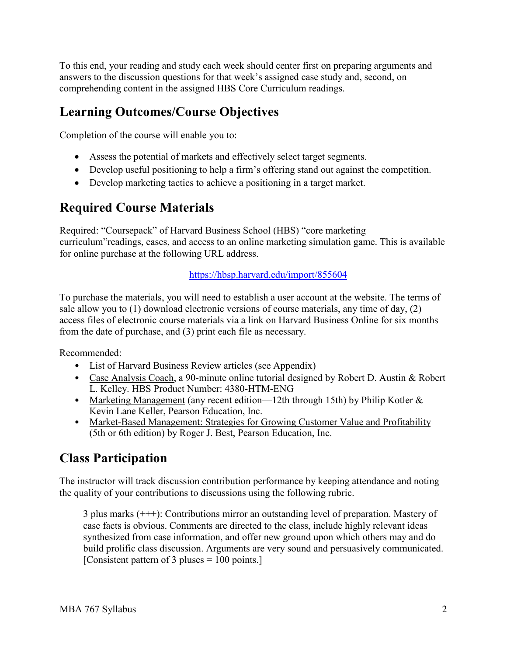To this end, your reading and study each week should center first on preparing arguments and answers to the discussion questions for that week's assigned case study and, second, on comprehending content in the assigned HBS Core Curriculum readings.

#### **Learning Outcomes/Course Objectives**

Completion of the course will enable you to:

- Assess the potential of markets and effectively select target segments.
- Develop useful positioning to help a firm's offering stand out against the competition.
- Develop marketing tactics to achieve a positioning in a target market.

## **Required Course Materials**

Required: "Coursepack" of Harvard Business School (HBS) "core marketing curriculum"readings, cases, and access to an online marketing simulation game. This is available for online purchase at the following URL address.

#### <https://hbsp.harvard.edu/import/855604>

To purchase the materials, you will need to establish a user account at the website. The terms of sale allow you to (1) download electronic versions of course materials, any time of day, (2) access files of electronic course materials via a link on Harvard Business Online for six months from the date of purchase, and (3) print each file as necessary.

Recommended:

- List of Harvard Business Review articles (see Appendix)
- Case Analysis Coach, a 90-minute online tutorial designed by Robert D. Austin & Robert L. Kelley. HBS Product Number: 4380-HTM-ENG
- Marketing Management (any recent edition—12th through 15th) by Philip Kotler & Kevin Lane Keller, Pearson Education, Inc.
- Market-Based Management: Strategies for Growing Customer Value and Profitability (5th or 6th edition) by Roger J. Best, Pearson Education, Inc.

#### **Class Participation**

 The instructor will track discussion contribution performance by keeping attendance and noting the quality of your contributions to discussions using the following rubric.

3 plus marks (+++): Contributions mirror an outstanding level of preparation. Mastery of case facts is obvious. Comments are directed to the class, include highly relevant ideas synthesized from case information, and offer new ground upon which others may and do build prolific class discussion. Arguments are very sound and persuasively communicated. [Consistent pattern of 3 pluses = 100 points.]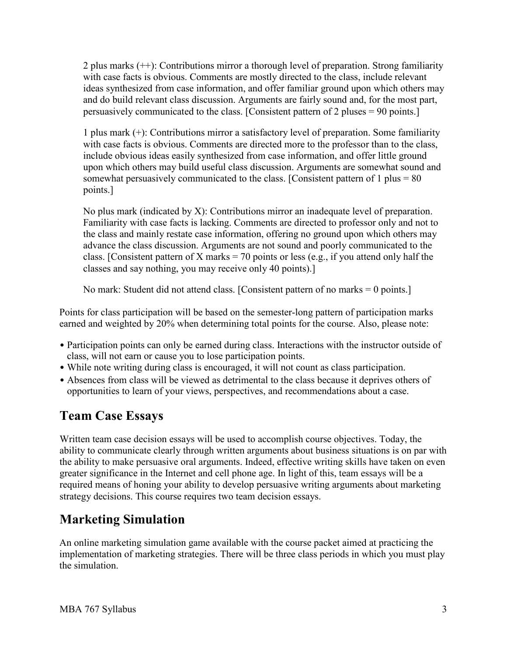2 plus marks (++): Contributions mirror a thorough level of preparation. Strong familiarity with case facts is obvious. Comments are mostly directed to the class, include relevant ideas synthesized from case information, and offer familiar ground upon which others may and do build relevant class discussion. Arguments are fairly sound and, for the most part, persuasively communicated to the class. [Consistent pattern of 2 pluses = 90 points.]

1 plus mark (+): Contributions mirror a satisfactory level of preparation. Some familiarity with case facts is obvious. Comments are directed more to the professor than to the class, include obvious ideas easily synthesized from case information, and offer little ground upon which others may build useful class discussion. Arguments are somewhat sound and somewhat persuasively communicated to the class. [Consistent pattern of 1 plus  $= 80$ points.]

 Familiarity with case facts is lacking. Comments are directed to professor only and not to advance the class discussion. Arguments are not sound and poorly communicated to the classes and say nothing, you may receive only 40 points).] No plus mark (indicated by X): Contributions mirror an inadequate level of preparation. the class and mainly restate case information, offering no ground upon which others may class. [Consistent pattern of X marks = 70 points or less (e.g., if you attend only half the

classes and say nothing, you may receive only 40 points).] No mark: Student did not attend class. [Consistent pattern of no marks = 0 points.]

 earned and weighted by 20% when determining total points for the course. Also, please note: Points for class participation will be based on the semester-long pattern of participation marks

- class, will not earn or cause you to lose participation points. • Participation points can only be earned during class. Interactions with the instructor outside of
- While note writing during class is encouraged, it will not count as class participation.
- Absences from class will be viewed as detrimental to the class because it deprives others of opportunities to learn of your views, perspectives, and recommendations about a case.

## **Team Case Essays**

 required means of honing your ability to develop persuasive writing arguments about marketing Written team case decision essays will be used to accomplish course objectives. Today, the ability to communicate clearly through written arguments about business situations is on par with the ability to make persuasive oral arguments. Indeed, effective writing skills have taken on even greater significance in the Internet and cell phone age. In light of this, team essays will be a strategy decisions. This course requires two team decision essays.

# **Marketing Simulation**

 implementation of marketing strategies. There will be three class periods in which you must play An online marketing simulation game available with the course packet aimed at practicing the the simulation.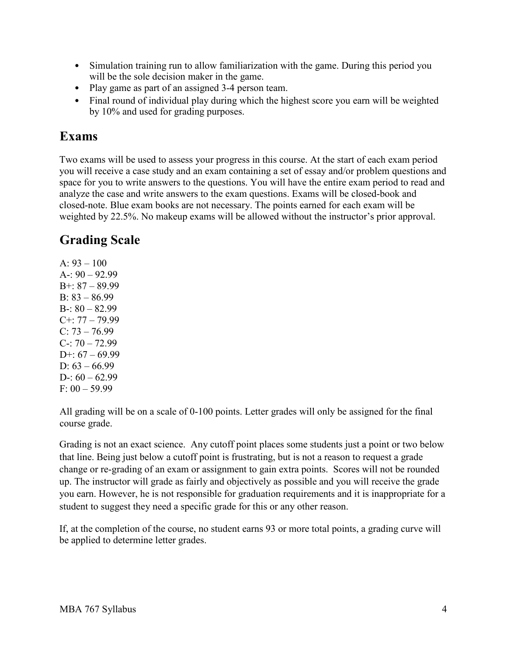- • Simulation training run to allow familiarization with the game. During this period you will be the sole decision maker in the game.
- Play game as part of an assigned 3-4 person team.
- by 10% and used for grading purposes. • Final round of individual play during which the highest score you earn will be weighted

#### **Exams**

 you will receive a case study and an exam containing a set of essay and/or problem questions and Two exams will be used to assess your progress in this course. At the start of each exam period space for you to write answers to the questions. You will have the entire exam period to read and analyze the case and write answers to the exam questions. Exams will be closed-book and closed-note. Blue exam books are not necessary. The points earned for each exam will be weighted by 22.5%. No makeup exams will be allowed without the instructor's prior approval.

## **Grading Scale**

 A: 93 – 100 A-: 90 – 92.99 B+: 87 – 89.99 B: 83 – 86.99 B-: 80 – 82.99 C+: 77 – 79.99  $C: 73 - 76.99$  C-: 70 – 72.99 D+: 67 – 69.99 D:  $63 - 66.99$ D-:  $60 - 62.99$ F: 00 – 59.99

All grading will be on a scale of 0-100 points. Letter grades will only be assigned for the final course grade.

 that line. Being just below a cutoff point is frustrating, but is not a reason to request a grade up. The instructor will grade as fairly and objectively as possible and you will receive the grade you earn. However, he is not responsible for graduation requirements and it is inappropriate for a student to suggest they need a specific grade for this or any other reason. Grading is not an exact science. Any cutoff point places some students just a point or two below change or re-grading of an exam or assignment to gain extra points. Scores will not be rounded

If, at the completion of the course, no student earns 93 or more total points, a grading curve will be applied to determine letter grades.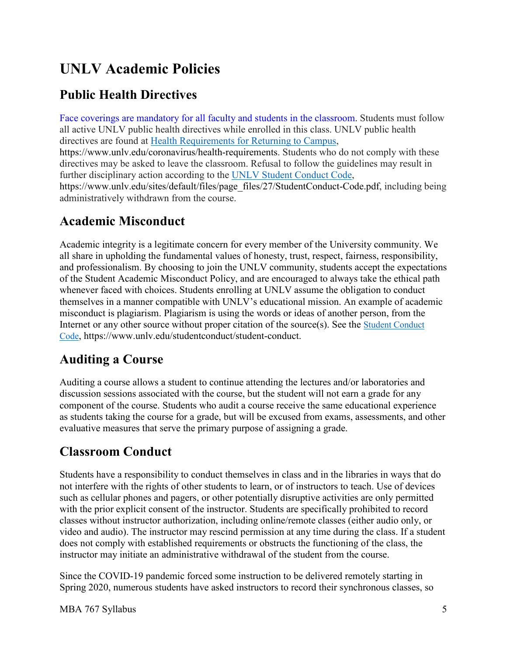# **UNLV Academic Policies**

## **Public Health Directives**

directives are found at **Health Requirements for Returning to Campus**, Face coverings are mandatory for all faculty and students in the classroom. Students must follow all active UNLV public health directives while enrolled in this class. UNLV public health <https://www.unlv.edu/coronavirus/health-requirements>. Students who do not comply with these directives may be asked to leave the classroom. Refusal to follow the guidelines may result in further disciplinary action according to the [UNLV Student Conduct Code,](https://www.unlv.edu/sites/default/files/page_files/27/StudentConduct-Code.pdf) [https://www.unlv.edu/sites/default/files/page\\_files/27/StudentConduct-Code.pdf](https://www.unlv.edu/sites/default/files/page_files/27/StudentConduct-Code.pdf), including being administratively withdrawn from the course.

### **Academic Misconduct**

Academic integrity is a legitimate concern for every member of the University community. We all share in upholding the fundamental values of honesty, trust, respect, fairness, responsibility, and professionalism. By choosing to join the UNLV community, students accept the expectations of the Student Academic Misconduct Policy, and are encouraged to always take the ethical path whenever faced with choices. Students enrolling at UNLV assume the obligation to conduct themselves in a manner compatible with UNLV's educational mission. An example of academic misconduct is plagiarism. Plagiarism is using the words or ideas of another person, from the Internet or any other source without proper citation of the source(s). See the [Student Conduct](https://www.unlv.edu/sites/default/files/page_files/27/StudentConduct-Code.pdf)  [Code,](https://www.unlv.edu/sites/default/files/page_files/27/StudentConduct-Code.pdf)<https://www.unlv.edu/studentconduct/student-conduct>.

## **Auditing a Course**

 discussion sessions associated with the course, but the student will not earn a grade for any as students taking the course for a grade, but will be excused from exams, assessments, and other Auditing a course allows a student to continue attending the lectures and/or laboratories and component of the course. Students who audit a course receive the same educational experience evaluative measures that serve the primary purpose of assigning a grade.

## **Classroom Conduct**

 video and audio). The instructor may rescind permission at any time during the class. If a student Students have a responsibility to conduct themselves in class and in the libraries in ways that do not interfere with the rights of other students to learn, or of instructors to teach. Use of devices such as cellular phones and pagers, or other potentially disruptive activities are only permitted with the prior explicit consent of the instructor. Students are specifically prohibited to record classes without instructor authorization, including online/remote classes (either audio only, or does not comply with established requirements or obstructs the functioning of the class, the instructor may initiate an administrative withdrawal of the student from the course.

Since the COVID-19 pandemic forced some instruction to be delivered remotely starting in Spring 2020, numerous students have asked instructors to record their synchronous classes, so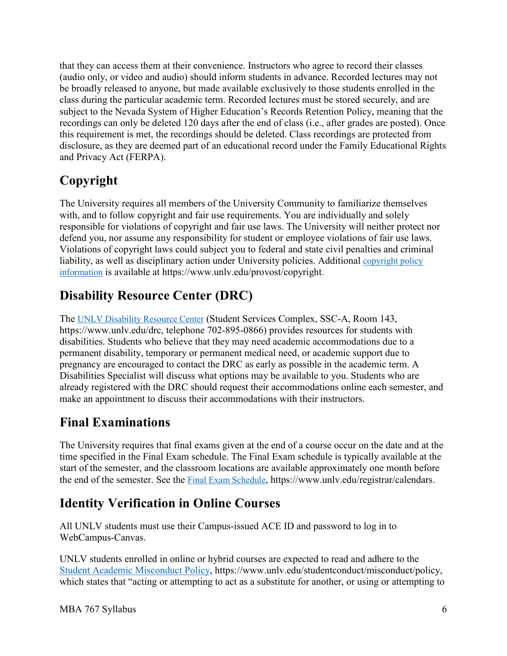(audio only, or video and audio) should inform students in advance. Recorded lectures may not that they can access them at their convenience. Instructors who agree to record their classes be broadly released to anyone, but made available exclusively to those students enrolled in the class during the particular academic term. Recorded lectures must be stored securely, and are subject to the Nevada System of Higher Education's Records Retention Policy, meaning that the recordings can only be deleted 120 days after the end of class (i.e., after grades are posted). Once this requirement is met, the recordings should be deleted. Class recordings are protected from disclosure, as they are deemed part of an educational record under the Family Educational Rights and Privacy Act (FERPA).

# **Copyright**

liability, as well as disciplinary action under University policies. Additional copyright policy The University requires all members of the University Community to familiarize themselves with, and to follow copyright and fair use requirements. You are individually and solely responsible for violations of copyright and fair use laws. The University will neither protect nor defend you, nor assume any responsibility for student or employee violations of fair use laws. Violations of copyright laws could subject you to federal and state civil penalties and criminal [information](http://www.unlv.edu/provost/copyright) is available at [https://www.unlv.edu/provost/copyright.](https://www.unlv.edu/provost/copyright)

# **Disability Resource Center (DRC)**

 [https://www.unlv.edu/drc,](https://www.unlv.edu/drc) telephone 702-895-0866) provides resources for students with The [UNLV Disability Resource Center](https://www.unlv.edu/drc) (Student Services Complex, SSC-A, Room 143, disabilities. Students who believe that they may need academic accommodations due to a permanent disability, temporary or permanent medical need, or academic support due to pregnancy are encouraged to contact the DRC as early as possible in the academic term. A Disabilities Specialist will discuss what options may be available to you. Students who are already registered with the DRC should request their accommodations online each semester, and make an appointment to discuss their accommodations with their instructors.

## **Final Examinations**

The University requires that final exams given at the end of a course occur on the date and at the time specified in the Final Exam schedule. The Final Exam schedule is typically available at the start of the semester, and the classroom locations are available approximately one month before the end of the semester. See the [Final Exam Schedule,](https://www.unlv.edu/registrar/calendars) [https://www.unlv.edu/registrar/calendars.](https://www.unlv.edu/registrar/calendars)

## **Identity Verification in Online Courses**

All UNLV students must use their Campus-issued ACE ID and password to log in to WebCampus-Canvas.

UNLV students enrolled in online or hybrid courses are expected to read and adhere to the [Student Academic Misconduct Policy,](https://www.unlv.edu/studentconduct/misconduct/policy) [https://www.unlv.edu/studentconduct/misconduct/policy,](https://www.unlv.edu/studentconduct/misconduct/policy) which states that "acting or attempting to act as a substitute for another, or using or attempting to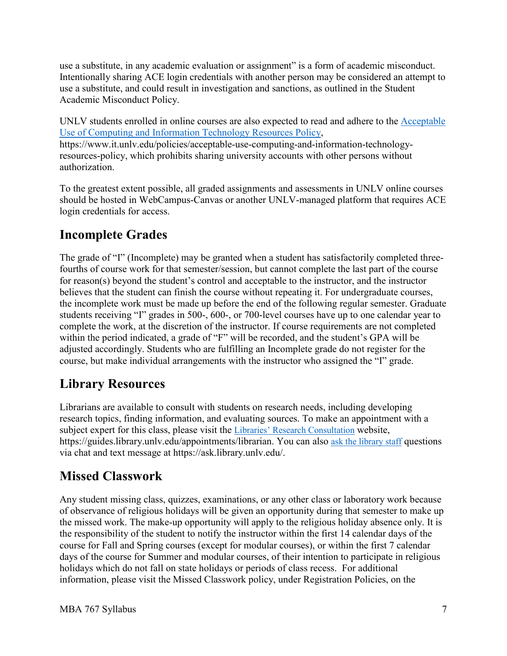use a substitute, in any academic evaluation or assignment" is a form of academic misconduct. Intentionally sharing ACE login credentials with another person may be considered an attempt to use a substitute, and could result in investigation and sanctions, as outlined in the Student Academic Misconduct Policy.

UNLV students enrolled in online courses are also expected to read and adhere to the [Acceptable](https://www.it.unlv.edu/policies/acceptable-use-computing-and-information-technology-resources-policy)  [Use of Computing and Information Technology Resources Policy,](https://www.it.unlv.edu/policies/acceptable-use-computing-and-information-technology-resources-policy) <https://www.it.unlv.edu/policies/acceptable-use-computing-and-information-technology>resources-policy, which prohibits sharing university accounts with other persons without authorization.

To the greatest extent possible, all graded assignments and assessments in UNLV online courses should be hosted in WebCampus-Canvas or another UNLV-managed platform that requires ACE login credentials for access.

## **Incomplete Grades**

 students receiving "I" grades in 500-, 600-, or 700-level courses have up to one calendar year to within the period indicated, a grade of "F" will be recorded, and the student's GPA will be course, but make individual arrangements with the instructor who assigned the "I" grade. The grade of "I" (Incomplete) may be granted when a student has satisfactorily completed threefourths of course work for that semester/session, but cannot complete the last part of the course for reason(s) beyond the student's control and acceptable to the instructor, and the instructor believes that the student can finish the course without repeating it. For undergraduate courses, the incomplete work must be made up before the end of the following regular semester. Graduate complete the work, at the discretion of the instructor. If course requirements are not completed adjusted accordingly. Students who are fulfilling an Incomplete grade do not register for the

## **Library Resources**

<https://guides.library.unlv.edu/appointments/librarian>. You can also [ask the library staff](http://ask.library.unlv.edu/) questions Librarians are available to consult with students on research needs, including developing research topics, finding information, and evaluating sources. To make an appointment with a subject expert for this class, please visit the [Libraries' Research Consultation](http://guides.library.unlv.edu/appointments/librarian) website, via chat and text message at<https://ask.library.unlv.edu>/.

#### **Missed Classwork**

Any student missing class, quizzes, examinations, or any other class or laboratory work because of observance of religious holidays will be given an opportunity during that semester to make up the missed work. The make-up opportunity will apply to the religious holiday absence only. It is the responsibility of the student to notify the instructor within the first 14 calendar days of the course for Fall and Spring courses (except for modular courses), or within the first 7 calendar days of the course for Summer and modular courses, of their intention to participate in religious holidays which do not fall on state holidays or periods of class recess. For additional information, please visit the Missed Classwork policy, under Registration Policies, on the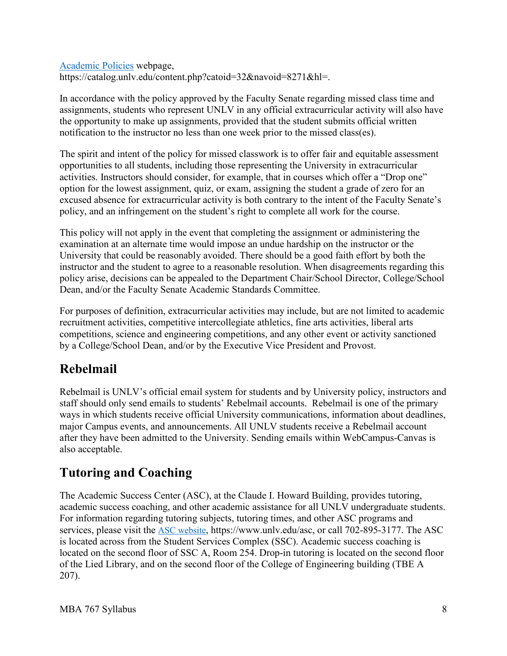[Academic Policies](https://catalog.unlv.edu/content.php?catoid=32&navoid=8271&hl=) webpage, <https://catalog.unlv.edu/content.php?catoid=32&navoid=8271&hl>=.

In accordance with the policy approved by the Faculty Senate regarding missed class time and assignments, students who represent UNLV in any official extracurricular activity will also have the opportunity to make up assignments, provided that the student submits official written notification to the instructor no less than one week prior to the missed class(es).

 The spirit and intent of the policy for missed classwork is to offer fair and equitable assessment activities. Instructors should consider, for example, that in courses which offer a "Drop one" opportunities to all students, including those representing the University in extracurricular option for the lowest assignment, quiz, or exam, assigning the student a grade of zero for an excused absence for extracurricular activity is both contrary to the intent of the Faculty Senate's policy, and an infringement on the student's right to complete all work for the course.

 instructor and the student to agree to a reasonable resolution. When disagreements regarding this This policy will not apply in the event that completing the assignment or administering the examination at an alternate time would impose an undue hardship on the instructor or the University that could be reasonably avoided. There should be a good faith effort by both the policy arise, decisions can be appealed to the Department Chair/School Director, College/School Dean, and/or the Faculty Senate Academic Standards Committee.

For purposes of definition, extracurricular activities may include, but are not limited to academic recruitment activities, competitive intercollegiate athletics, fine arts activities, liberal arts competitions, science and engineering competitions, and any other event or activity sanctioned by a College/School Dean, and/or by the Executive Vice President and Provost.

## **Rebelmail**

 Rebelmail is UNLV's official email system for students and by University policy, instructors and staff should only send emails to students' Rebelmail accounts. Rebelmail is one of the primary ways in which students receive official University communications, information about deadlines, major Campus events, and announcements. All UNLV students receive a Rebelmail account after they have been admitted to the University. Sending emails within WebCampus-Canvas is also acceptable.

## **Tutoring and Coaching**

 The Academic Success Center (ASC), at the Claude I. Howard Building, provides tutoring, academic success coaching, and other academic assistance for all UNLV undergraduate students. For information regarding tutoring subjects, tutoring times, and other ASC programs and services, please visit the [ASC website,](https://www.unlv.edu/asc) <https://www.unlv.edu/asc>, or call 702-895-3177. The ASC is located across from the Student Services Complex (SSC). Academic success coaching is located on the second floor of SSC A, Room 254. Drop-in tutoring is located on the second floor of the Lied Library, and on the second floor of the College of Engineering building (TBE A 207).